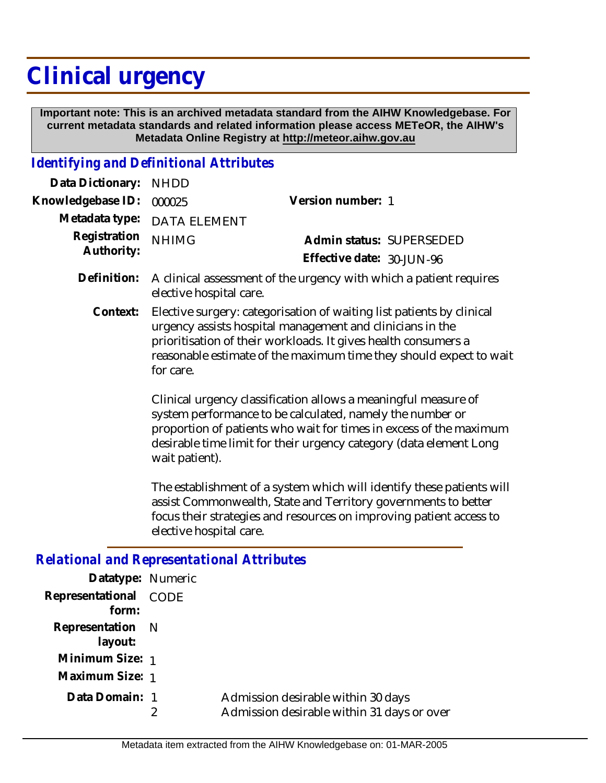## **Clinical urgency**

 **Important note: This is an archived metadata standard from the AIHW Knowledgebase. For current metadata standards and related information please access METeOR, the AIHW's Metadata Online Registry at http://meteor.aihw.gov.au**

## *Identifying and Definitional Attributes*

2

| Data Dictionary:                                  | <b>NHDD</b>                                                                                                                                                                                                                                                                               |                                                                    |
|---------------------------------------------------|-------------------------------------------------------------------------------------------------------------------------------------------------------------------------------------------------------------------------------------------------------------------------------------------|--------------------------------------------------------------------|
| Knowledgebase ID:                                 | 000025                                                                                                                                                                                                                                                                                    | Version number: 1                                                  |
| Metadata type:                                    | <b>DATA ELEMENT</b>                                                                                                                                                                                                                                                                       |                                                                    |
| Registration<br>Authority:                        | <b>NHIMG</b>                                                                                                                                                                                                                                                                              | Admin status: SUPERSEDED                                           |
|                                                   |                                                                                                                                                                                                                                                                                           | Effective date: 30-JUN-96                                          |
| Definition:                                       | elective hospital care.                                                                                                                                                                                                                                                                   | A clinical assessment of the urgency with which a patient requires |
| Context:                                          | Elective surgery: categorisation of waiting list patients by clinical<br>urgency assists hospital management and clinicians in the<br>prioritisation of their workloads. It gives health consumers a<br>reasonable estimate of the maximum time they should expect to wait<br>for care.   |                                                                    |
|                                                   | Clinical urgency classification allows a meaningful measure of<br>system performance to be calculated, namely the number or<br>proportion of patients who wait for times in excess of the maximum<br>desirable time limit for their urgency category (data element Long<br>wait patient). |                                                                    |
|                                                   | The establishment of a system which will identify these patients will<br>assist Commonwealth, State and Territory governments to better<br>focus their strategies and resources on improving patient access to<br>elective hospital care.                                                 |                                                                    |
| <b>Relational and Representational Attributes</b> |                                                                                                                                                                                                                                                                                           |                                                                    |
| Datatype: Numeric                                 |                                                                                                                                                                                                                                                                                           |                                                                    |
| Representational<br>form:                         | CODE                                                                                                                                                                                                                                                                                      |                                                                    |
| Representation<br>layout:                         | N                                                                                                                                                                                                                                                                                         |                                                                    |
| Minimum Size: 1                                   |                                                                                                                                                                                                                                                                                           |                                                                    |
| Maximum Size: 1                                   |                                                                                                                                                                                                                                                                                           |                                                                    |
| Data Domain: 1                                    |                                                                                                                                                                                                                                                                                           | Admission desirable within 30 days                                 |

Admission desirable within 31 days or over